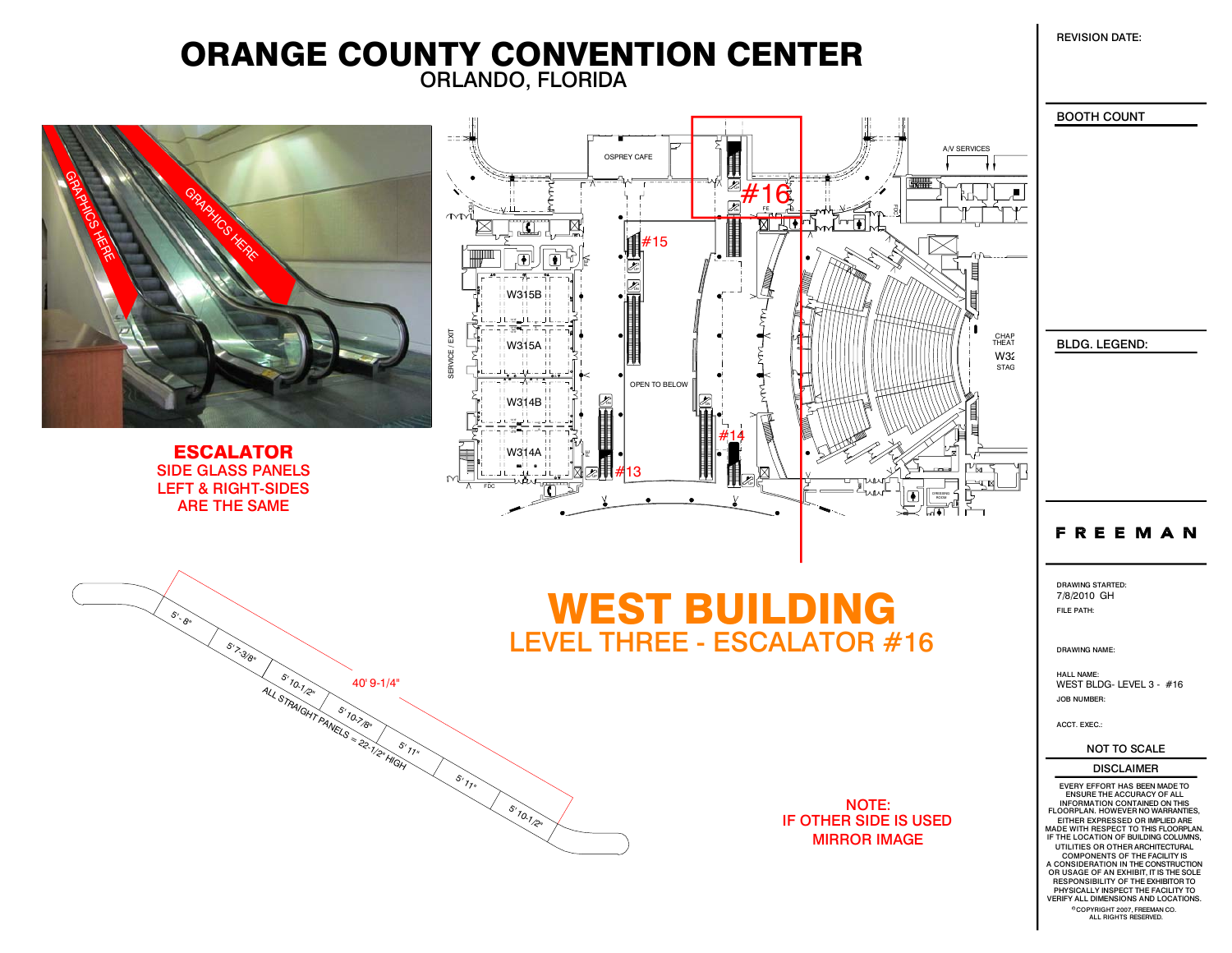REVISION DATE:

## ORLANDO, FLORIDA ORANGE COUNTY CONVENTION CENTER



#### VERIFY ALL DIMENSIONS AND LOCATIONS. COPYRIGHT 2007, FREEMAN CO.<br>ALL RIGHTS RESERVED.